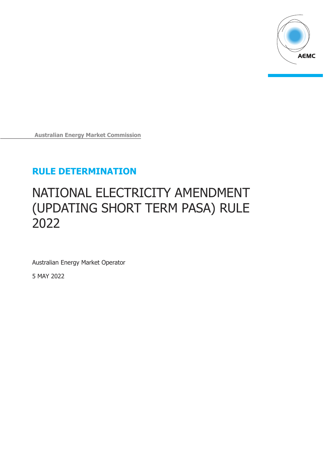

## **RULE DETERMINATION**

# NATIONAL ELECTRICITY AMENDMENT (UPDATING SHORT TERM PASA) RULE 2022

Australian Energy Market Operator

5 MAY 2022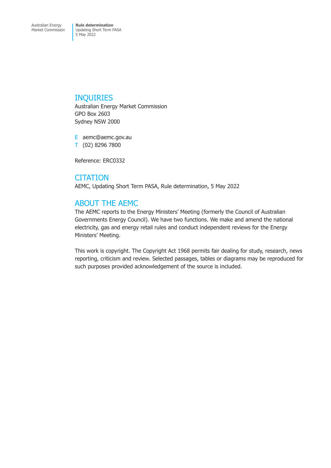### INQUIRIES

Australian Energy Market Commission GPO Box 2603 Sydney NSW 2000

E aemc@aemc.gov.au T (02) 8296 7800

Reference: ERC0332

**CITATION** AEMC, Updating Short Term PASA, Rule determination, 5 May 2022

## ABOUT THE AEMC

The AEMC reports to the Energy Ministers' Meeting (formerly the Council of Australian Governments Energy Council). We have two functions. We make and amend the national electricity, gas and energy retail rules and conduct independent reviews for the Energy Ministers' Meeting.

This work is copyright. The Copyright Act 1968 permits fair dealing for study, research, news reporting, criticism and review. Selected passages, tables or diagrams may be reproduced for such purposes provided acknowledgement of the source is included.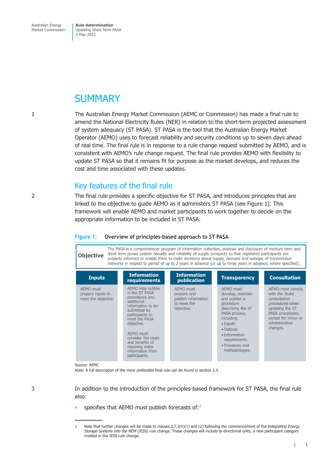**Rule determination**  Updating Short Term PASA 5 May 2022

## **SUMMARY**

1 The Australian Energy Market Commission (AEMC or Commission) has made a final rule to amend the National Electricity Rules (NER) in relation to the short-term projected assessment of system adequacy (ST PASA). ST PASA is the tool that the Australian Energy Market Operator (AEMO) uses to forecast reliability and security conditions up to seven days ahead of real time. The final rule is in response to a rule change request submitted by AEMO, and is consistent with AEMO's rule change request. The final rule provides AEMO with flexibility to update ST PASA so that it remains fit for purpose as the market develops, and reduces the cost and time associated with these updates.

## Key features of the final rule

2 The final rule provides a specific objective for ST PASA, and introduces principles that are linked to the objective to guide AEMO as it administers ST PASA (see Figure 1). This framework will enable AEMO and market participants to work together to decide on the appropriate information to be included in ST PASA.

#### **Figure 1: Overview of principles-based approach to ST PASA**



Source: AEMC

Note: A full description of the more preferable final rule can be found in section 2.4.

3 In addition to the introduction of the principles-based framework for ST PASA, the final rule also:

specifies that AEMO must publish forecasts of: $<sup>1</sup>$ </sup>

i

<sup>1</sup> Note that further changes will be made to clauses 3.7.3(h)(1) and (2) following the commencement of the *Integrating Energy Storage Systems into the NEM* (IESS) rule change. These changes will include bi-directional units, a new participant category created in the IESS rule change.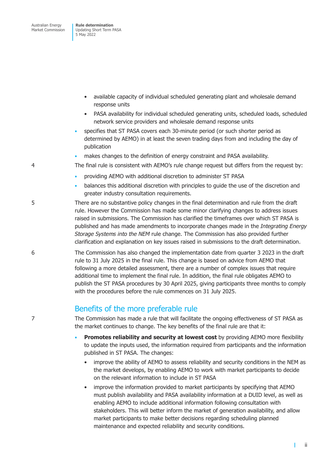- available capacity of individual scheduled generating plant and wholesale demand response units
- PASA availability for individual scheduled generating units, scheduled loads, scheduled network service providers and wholesale demand response units
- specifies that ST PASA covers each 30-minute period (or such shorter period as determined by AEMO) in at least the seven trading days from and including the day of publication
- makes changes to the definition of energy constraint and PASA availability.

4 The final rule is consistent with AEMO's rule change request but differs from the request by:

- providing AEMO with additional discretion to administer ST PASA
- balances this additional discretion with principles to guide the use of the discretion and greater industry consultation requirements.
- 5 There are no substantive policy changes in the final determination and rule from the draft rule. However the Commission has made some minor clarifying changes to address issues raised in submissions. The Commission has clarified the timeframes over which ST PASA is published and has made amendments to incorporate changes made in the *Integrating Energy Storage Systems into the NEM* rule change. The Commission has also provided further clarification and explanation on key issues raised in submissions to the draft determination.
- 6 The Commission has also changed the implementation date from quarter 3 2023 in the draft rule to 31 July 2025 in the final rule. This change is based on advice from AEMO that following a more detailed assessment, there are a number of complex issues that require additional time to implement the final rule. In addition, the final rule obligates AEMO to publish the ST PASA procedures by 30 April 2025, giving participants three months to comply with the procedures before the rule commences on 31 July 2025.

## Benefits of the more preferable rule

7 The Commission has made a rule that will facilitate the ongoing effectiveness of ST PASA as the market continues to change. The key benefits of the final rule are that it:

- **Promotes reliability and security at lowest cost** by providing AEMO more flexibility to update the inputs used, the information required from participants and the information published in ST PASA. The changes:
	- improve the ability of AEMO to assess reliability and security conditions in the NEM as the market develops, by enabling AEMO to work with market participants to decide on the relevant information to include in ST PASA
	- improve the information provided to market participants by specifying that AEMO must publish availability and PASA availability information at a DUID level, as well as enabling AEMO to include additional information following consultation with stakeholders. This will better inform the market of generation availability, and allow market participants to make better decisions regarding scheduling planned maintenance and expected reliability and security conditions.

T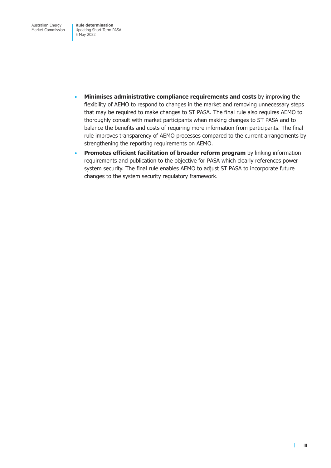- **Minimises administrative compliance requirements and costs** by improving the flexibility of AEMO to respond to changes in the market and removing unnecessary steps that may be required to make changes to ST PASA. The final rule also requires AEMO to thoroughly consult with market participants when making changes to ST PASA and to balance the benefits and costs of requiring more information from participants. The final rule improves transparency of AEMO processes compared to the current arrangements by strengthening the reporting requirements on AEMO.
- **Promotes efficient facilitation of broader reform program** by linking information requirements and publication to the objective for PASA which clearly references power system security. The final rule enables AEMO to adjust ST PASA to incorporate future changes to the system security regulatory framework.

 $\mathbf{I}$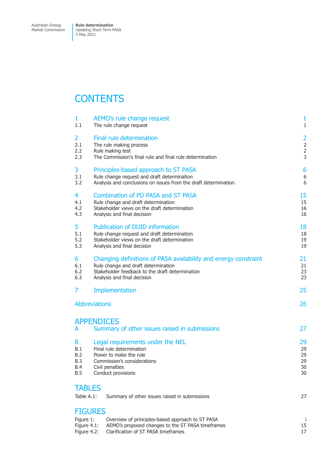Market Commission

## **CONTENTS**

| 1                                                         |                                  | AEMO's rule change request                                                                                                                   | $\mathbf{1}$   |
|-----------------------------------------------------------|----------------------------------|----------------------------------------------------------------------------------------------------------------------------------------------|----------------|
| 1.1                                                       |                                  | The rule change request                                                                                                                      | $\mathbf{1}$   |
| 2                                                         |                                  | Final rule determination                                                                                                                     | 2              |
| 2.1                                                       |                                  | The rule making process                                                                                                                      | $\overline{2}$ |
| 2.2                                                       |                                  | Rule making test                                                                                                                             | $\overline{2}$ |
| 2.3                                                       |                                  | The Commission's final rule and final rule determination                                                                                     | 3              |
| 3                                                         |                                  | Principles-based approach to ST PASA                                                                                                         | 6              |
| 3.1                                                       |                                  | Rule change request and draft determination                                                                                                  | 6              |
| 3.2                                                       |                                  | Analysis and conclusions on issues from the draft determination.                                                                             | 6              |
| 4                                                         |                                  | <b>Combination of PD PASA and ST PASA</b>                                                                                                    | 15             |
| 4.1                                                       |                                  | Rule change and draft determination                                                                                                          | 15             |
| 4.2                                                       |                                  | Stakeholder views on the draft determination                                                                                                 | 16             |
| 4.3                                                       |                                  | Analysis and final decision                                                                                                                  | 16             |
| 5                                                         |                                  | <b>Publication of DUID information</b>                                                                                                       | 18             |
| 5.1                                                       |                                  | Rule change request and draft determination                                                                                                  | 18             |
| 5.2                                                       |                                  | Stakeholder views on the draft determination                                                                                                 | 19             |
| 5.3                                                       |                                  | Analysis and final decision                                                                                                                  | 19             |
| 6                                                         |                                  | Changing definitions of PASA availability and energy constraint                                                                              | 21             |
| 6.1                                                       |                                  | Rule change and draft determination                                                                                                          | 21             |
| 6.2                                                       |                                  | Stakeholder feedback to the draft determination                                                                                              | 23             |
| 6.3                                                       |                                  | Analysis and final decision                                                                                                                  | 23             |
| 7                                                         |                                  | Implementation                                                                                                                               | 25             |
| <b>Abbreviations</b>                                      |                                  |                                                                                                                                              | 26             |
| <b>APPENDICES</b><br>A                                    |                                  | Summary of other issues raised in submissions                                                                                                | 27             |
| B                                                         | Legal requirements under the NEL |                                                                                                                                              | 29             |
| B.1                                                       | Final rule determination         |                                                                                                                                              | 29             |
| B.2                                                       | Power to make the rule           |                                                                                                                                              | 29             |
| <b>B.3</b>                                                | Commission's considerations      |                                                                                                                                              | 29             |
| <b>B.4</b>                                                | Civil penalties                  |                                                                                                                                              | 30             |
| B.5                                                       | Conduct provisions               |                                                                                                                                              | 30             |
| <b>TABLES</b><br>Table A.1:                               |                                  | Summary of other issues raised in submissions                                                                                                | 27             |
| <b>FIGURES</b><br>Figure 1:<br>Figure 4.1:<br>Figure 4.2: |                                  | Overview of principles-based approach to ST PASA<br>AEMO's proposed changes to the ST PASA timeframes<br>Clarification of ST PASA timeframes | j.<br>15<br>17 |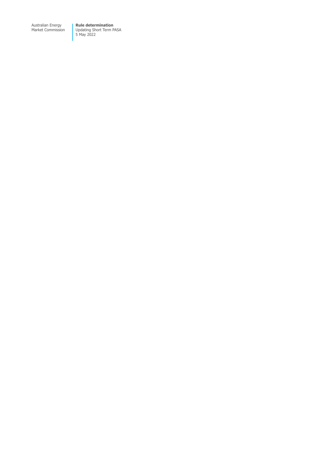**Rule determination**  Updating Short Term PASA 5 May 2022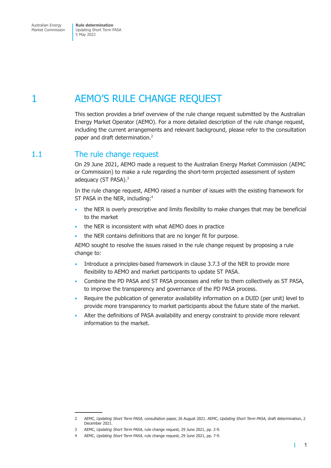<span id="page-7-0"></span>**Rule determination**  Updating Short Term PASA 5 May 2022

## 1 AEMO'S RULE CHANGE REQUEST

This section provides a brief overview of the rule change request submitted by the Australian Energy Market Operator (AEMO). For a more detailed description of the rule change request, including the current arrangements and relevant background, please refer to the consultation paper and draft determination.<sup>2</sup>

### 1.1 The rule change request

On 29 June 2021, AEMO made a request to the Australian Energy Market Commission (AEMC or Commission) to make a rule regarding the short-term projected assessment of system adequacy (ST PASA). $3$ 

In the rule change request, AEMO raised a number of issues with the existing framework for ST PASA in the NER, including:<sup>4</sup>

- the NER is overly prescriptive and limits flexibility to make changes that may be beneficial to the market
- the NER is inconsistent with what AEMO does in practice
- the NER contains definitions that are no longer fit for purpose.

AEMO sought to resolve the issues raised in the rule change request by proposing a rule change to:

- Introduce a principles-based framework in clause 3.7.3 of the NER to provide more flexibility to AEMO and market participants to update ST PASA.
- Combine the PD PASA and ST PASA processes and refer to them collectively as ST PASA, to improve the transparency and governance of the PD PASA process.
- Require the publication of generator availability information on a DUID (per unit) level to provide more transparency to market participants about the future state of the market.
- Alter the definitions of PASA availability and energy constraint to provide more relevant information to the market.

<sup>2</sup> AEMC, *Updating Short Term PASA,* consultation paper, 26 August 2021. AEMC, *Updating Short Term PASA,* draft determination, 2 December 2021.

<sup>3</sup> AEMC, *Updating Short Term PASA,* rule change request, 29 June 2021, pp. 2-9.

<sup>4</sup> AEMC, *Updating Short Term PASA,* rule change request, 29 June 2021, pp. 7-9.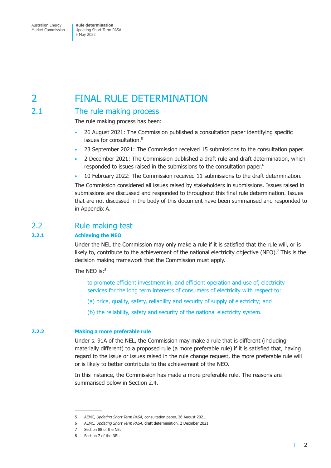## <span id="page-8-0"></span>2 FINAL RULE DETERMINATION

### 2.1 The rule making process

The rule making process has been:

- 26 August 2021: The Commission published a consultation paper identifying specific issues for consultation.<sup>5</sup>
- 23 September 2021: The Commission received 15 submissions to the consultation paper.
- 2 December 2021: The Commission published a draft rule and draft determination, which responded to issues raised in the submissions to the consultation paper.<sup>6</sup>
- 10 February 2022: The Commission received 11 submissions to the draft determination.

The Commission considered all issues raised by stakeholders in submissions. Issues raised in submissions are discussed and responded to throughout this final rule determination. Issues that are not discussed in the body of this document have been summarised and responded to in Appendix A.

### 2.2 Rule making test

#### **2.2.1 Achieving the NEO**

Under the NEL the Commission may only make a rule if it is satisfied that the rule will, or is likely to, contribute to the achievement of the national electricity objective (NEO).<sup>7</sup> This is the decision making framework that the Commission must apply.

The NEO is:<sup>8</sup>

to promote efficient investment in, and efficient operation and use of, electricity services for the long term interests of consumers of electricity with respect to:

- (a) price, quality, safety, reliability and security of supply of electricity; and
- (b) the reliability, safety and security of the national electricity system.

#### **2.2.2 Making a more preferable rule**

Under s. 91A of the NEL, the Commission may make a rule that is different (including materially different) to a proposed rule (a more preferable rule) if it is satisfied that, having regard to the issue or issues raised in the rule change request, the more preferable rule will or is likely to better contribute to the achievement of the NEO.

In this instance, the Commission has made a more preferable rule. The reasons are summarised below in Section 2.4.

<sup>5</sup> AEMC, *Updating Short Term PASA,* consultation paper, 26 August 2021.

<sup>6</sup> AEMC*, Updating Short Term PASA,* draft determination, 2 Decmber 2021.

<sup>7</sup> Section 88 of the NEL.

<sup>8</sup> Section 7 of the NEL.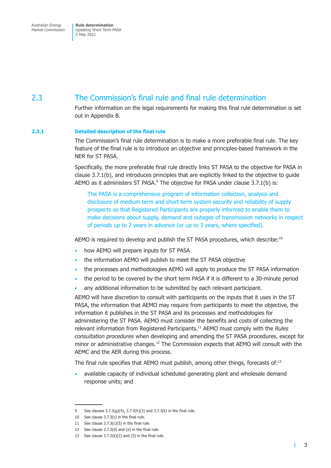<span id="page-9-0"></span>**Rule determination**  Updating Short Term PASA 5 May 2022

## 2.3 The Commission's final rule and final rule determination

Further information on the legal requirements for making this final rule determination is set out in Appendix B.

#### **2.3.1 Detailed description of the final rule**

The Commission's final rule determination is to make a more preferable final rule. The key feature of the final rule is to introduce an objective and principles-based framework in the NER for ST PASA.

Specifically, the more preferable final rule directly links ST PASA to the objective for PASA in clause 3.7.1(b), and introduces principles that are explicitly linked to the objective to guide AEMO as it administers ST PASA. $9$  The objective for PASA under clause 3.7.1(b) is:

The PASA is a comprehensive program of information collection, analysis and disclosure of medium term and short term system security and reliability of supply prospects so that Registered Participants are properly informed to enable them to make decisions about supply, demand and outages of transmission networks in respect of periods up to 2 years in advance (or up to 3 years, where specified).

AEMO is required to develop and publish the ST PASA procedures, which describe:<sup>10</sup>

- how AEMO will prepare inputs for ST PASA
- the information AEMO will publish to meet the ST PASA objective
- the processes and methodologies AEMO will apply to produce the ST PASA information
- the period to be covered by the short term PASA if it is different to a 30-minute period
- any additional information to be submitted by each relevant participant.

AEMO will have discretion to consult with participants on the inputs that it uses in the ST PASA, the information that AEMO may require from participants to meet the objective, the information it publishes in the ST PASA and its processes and methodologies for administering the ST PASA. AEMO must consider the benefits and costs of collecting the relevant information from Registered Participants.11 AEMO must comply with the *Rules consultation procedures* when developing and amending the ST PASA procedures, except for minor or administrative changes.<sup>12</sup> The Commission expects that AEMO will consult with the AEMC and the AER during this process.

The final rule specifies that AEMO must publish, among other things, forecasts of: $13$ 

available capacity of individual scheduled generating plant and wholesale demand response units; and

<sup>9</sup> See clauses 3.7.3(g)(4), 3.7.3(h)(3) and 3.7.3(k) in the final rule.

<sup>10</sup> See clause 3.7.3(c) in the final rule.

<sup>11</sup> See clause 3.7.3(c)(5) in the final rule.

<sup>12</sup> See clause 3.7.3(d) and (e) in the final rule.

<sup>13</sup> See clause  $3.7.3(k)(2)$  and (3) in the final rule.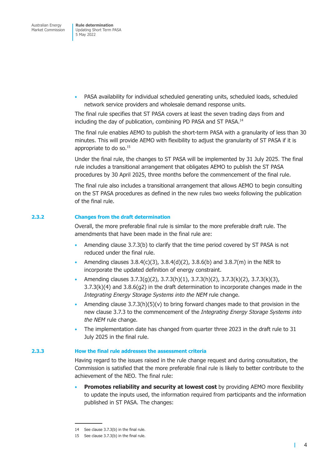• PASA availability for individual scheduled generating units, scheduled loads, scheduled network service providers and wholesale demand response units.

The final rule specifies that ST PASA covers at least the seven trading days from and including the day of publication, combining PD PASA and ST PASA.<sup>14</sup>

The final rule enables AEMO to publish the short-term PASA with a granularity of less than 30 minutes. This will provide AEMO with flexibility to adjust the granularity of ST PASA if it is appropriate to do so. $15$ 

Under the final rule, the changes to ST PASA will be implemented by 31 July 2025. The final rule includes a transitional arrangement that obligates AEMO to publish the ST PASA procedures by 30 April 2025, three months before the commencement of the final rule.

The final rule also includes a transitional arrangement that allows AEMO to begin consulting on the ST PASA procedures as defined in the new rules two weeks following the publication of the final rule.

#### **2.3.2 Changes from the draft determination**

Overall, the more preferable final rule is similar to the more preferable draft rule. The amendments that have been made in the final rule are:

- Amending clause 3.7.3(b) to clarify that the time period covered by ST PASA is not reduced under the final rule.
- Amending clauses 3.8.4(c)(3), 3.8.4(d)(2), 3.8.6(b) and 3.8.7(m) in the NER to incorporate the updated definition of energy constraint.
- Amending clauses 3.7.3(g)(2), 3.7.3(h)(1), 3.7.3(h)(2), 3.7.3(k)(2), 3.7.3(k)(3), 3.7.3(k)(4) and 3.8.6(g2) in the draft determination to incorporate changes made in the *Integrating Energy Storage Systems into the NEM* rule change.
- Amending clause  $3.7.3(h)(5)(v)$  to bring forward changes made to that provision in the new clause 3.7.3 to the commencement of the *Integrating Energy Storage Systems into the NEM* rule change.
- The implementation date has changed from quarter three 2023 in the draft rule to 31 July 2025 in the final rule.

#### **2.3.3 How the final rule addresses the assessment criteria**

Having regard to the issues raised in the rule change request and during consultation, the Commission is satisfied that the more preferable final rule is likely to better contribute to the achievement of the NEO. The final rule:

**Promotes reliability and security at lowest cost by providing AEMO more flexibility** to update the inputs used, the information required from participants and the information published in ST PASA. The changes:

<sup>14</sup> See clause 3.7.3(b) in the final rule.

<sup>15</sup> See clause 3.7.3(b) in the final rule.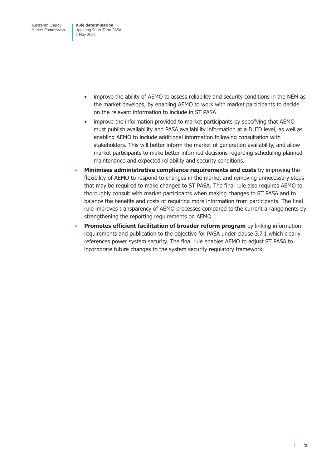**Rule determination**  Updating Short Term PASA 5 May 2022

- improve the ability of AEMO to assess reliability and security conditions in the NEM as the market develops, by enabling AEMO to work with market participants to decide on the relevant information to include in ST PASA
- improve the information provided to market participants by specifying that AEMO must publish availability and PASA availability information at a DUID level, as well as enabling AEMO to include additional information following consultation with stakeholders. This will better inform the market of generation availability, and allow market participants to make better informed decisions regarding scheduling planned maintenance and expected reliability and security conditions.
- **Minimises administrative compliance requirements and costs** by improving the flexibility of AEMO to respond to changes in the market and removing unnecessary steps that may be required to make changes to ST PASA. The final rule also requires AEMO to thoroughly consult with market participants when making changes to ST PASA and to balance the benefits and costs of requiring more information from participants. The final rule improves transparency of AEMO processes compared to the current arrangements by strengthening the reporting requirements on AEMO.
- **Promotes efficient facilitation of broader reform program** by linking information requirements and publication to the objective for PASA under clause 3.7.1 which clearly references power system security. The final rule enables AEMO to adjust ST PASA to incorporate future changes to the system security regulatory framework.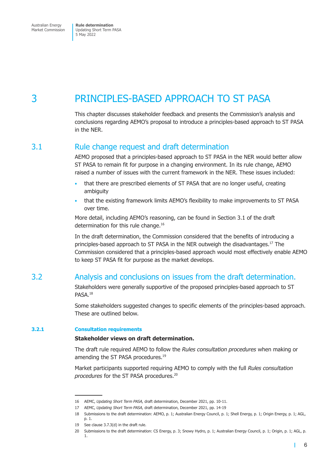<span id="page-12-0"></span>**Rule determination**  Updating Short Term PASA 5 May 2022

## 3 PRINCIPLES-BASED APPROACH TO ST PASA

This chapter discusses stakeholder feedback and presents the Commission's analysis and conclusions regarding AEMO's proposal to introduce a principles-based approach to ST PASA in the NER.

### 3.1 Rule change request and draft determination

AEMO proposed that a principles-based approach to ST PASA in the NER would better allow ST PASA to remain fit for purpose in a changing environment. In its rule change, AEMO raised a number of issues with the current framework in the NER. These issues included:

- that there are prescribed elements of ST PASA that are no longer useful, creating ambiguity
- that the existing framework limits AEMO's flexibility to make improvements to ST PASA over time.

More detail, including AEMO's reasoning, can be found in Section 3.1 of the draft determination for this rule change.<sup>16</sup>

In the draft determination, the Commission considered that the benefits of introducing a principles-based approach to ST PASA in the NER outweigh the disadvantages.<sup>17</sup> The Commission considered that a principles-based approach would most effectively enable AEMO to keep ST PASA fit for purpose as the market develops.

## 3.2 Analysis and conclusions on issues from the draft determination.

Stakeholders were generally supportive of the proposed principles-based approach to ST PASA.18

Some stakeholders suggested changes to specific elements of the principles-based approach. These are outlined below.

#### **3.2.1 Consultation requirements**

#### **Stakeholder views on draft determination.**

The draft rule required AEMO to follow the *Rules consultation procedures* when making or amending the ST PASA procedures.<sup>19</sup>

Market participants supported requiring AEMO to comply with the full *Rules consultation procedures* for the ST PASA procedures.<sup>20</sup>

г

<sup>16</sup> AEMC, *Updating Short Term PASA,* draft determination, December 2021, pp. 10-11.

<sup>17</sup> AEMC, *Updating Short Term PASA,* draft determination, December 2021, pp. 14-19

<sup>18</sup> Submissions to the draft determination: AEMO, p. 1; Australian Energy Council, p. 1; Shell Energy, p. 1; Origin Energy, p. 1; AGL, p. 1.

<sup>19</sup> See clause 3.7.3(d) in the draft rule.

<sup>20</sup> Submissions to the draft determination: CS Energy, p. 3; Snowy Hydro, p. 1; Australian Energy Council, p. 1; Origin, p. 1; AGL, p. 1.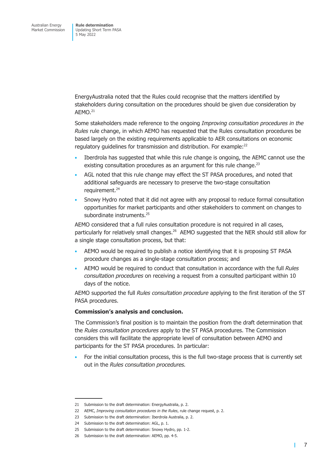EnergyAustralia noted that the Rules could recognise that the matters identified by stakeholders during consultation on the procedures should be given due consideration by  $AEMO.<sup>21</sup>$ 

Some stakeholders made reference to the ongoing *Improving consultation procedures in the Rules* rule change, in which AEMO has requested that the Rules consultation procedures be based largely on the existing requirements applicable to AER consultations on economic regulatory quidelines for transmission and distribution. For example:<sup>22</sup>

- Iberdrola has suggested that while this rule change is ongoing, the AEMC cannot use the existing consultation procedures as an argument for this rule change.<sup>23</sup>
- AGL noted that this rule change may effect the ST PASA procedures, and noted that additional safeguards are necessary to preserve the two-stage consultation requirement.<sup>24</sup>
- Snowy Hydro noted that it did not agree with any proposal to reduce formal consultation opportunities for market participants and other stakeholders to comment on changes to subordinate instruments.<sup>25</sup>

AEMO considered that a full rules consultation procedure is not required in all cases, particularly for relatively small changes.<sup>26</sup> AEMO suggested that the NER should still allow for a single stage consultation process, but that:

- AEMO would be required to publish a notice identifying that it is proposing ST PASA procedure changes as a single-stage consultation process; and
- AEMO would be required to conduct that consultation in accordance with the full *Rules consultation procedures* on receiving a request from a consulted participant within 10 days of the notice.

AEMO supported the full *Rules consultation procedure* applying to the first iteration of the ST PASA procedures.

#### **Commission's analysis and conclusion.**

The Commission's final position is to maintain the position from the draft determination that the *Rules consultation procedures* apply to the ST PASA procedures. The Commission considers this will facilitate the appropriate level of consultation between AEMO and participants for the ST PASA procedures. In particular:

• For the initial consultation process, this is the full two-stage process that is currently set out in the *Rules consultation procedures.*

<sup>21</sup> Submission to the draft determination: EnergyAustralia, p. 2.

<sup>22</sup> AEMC, *Improving consultation procedures in the Rules*, rule change request, p. 2.

<sup>23</sup> Submission to the draft determination: Iberdrola Australia, p. 2.

<sup>24</sup> Submission to the draft determination: AGL, p. 1.

<sup>25</sup> Submission to the draft determination: Snowy Hydro, pp. 1-2.

<sup>26</sup> Submission to the draft determination: AEMO, pp. 4-5.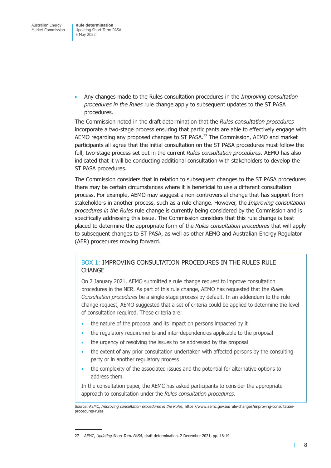• Any changes made to the Rules consultation procedures in the *Improving consultation procedures in the Rules* rule change apply to subsequent updates to the ST PASA procedures.

The Commission noted in the draft determination that the *Rules consultation procedures* incorporate a two-stage process ensuring that participants are able to effectively engage with AEMO regarding any proposed changes to ST PASA.<sup>27</sup> The Commission, AEMO and market participants all agree that the initial consultation on the ST PASA procedures must follow the full, two-stage process set out in the current *Rules consultation procedures*. AEMO has also indicated that it will be conducting additional consultation with stakeholders to develop the ST PASA procedures.

The Commission considers that in relation to subsequent changes to the ST PASA procedures there may be certain circumstances where it is beneficial to use a different consultation process. For example, AEMO may suggest a non-controversial change that has support from stakeholders in another process, such as a rule change. However, the *Improving consultation procedures in the Rules* rule change is currently being considered by the Commission and is specifically addressing this issue. The Commission considers that this rule change is best placed to determine the appropriate form of the *Rules consultation procedures* that will apply to subsequent changes to ST PASA, as well as other AEMO and Australian Energy Regulator (AER) procedures moving forward.

### BOX 1: IMPROVING CONSULTATION PROCEDURES IN THE RULES RULE **CHANGE**

On 7 January 2021, AEMO submitted a rule change request to improve consultation procedures in the NER. As part of this rule change, AEMO has requested that the *Rules Consultation procedures* be a single-stage process by default. In an addendum to the rule change request, AEMO suggested that a set of criteria could be applied to determine the level of consultation required. These criteria are:

- the nature of the proposal and its impact on persons impacted by it
- the regulatory requirements and inter-dependencies applicable to the proposal
- the urgency of resolving the issues to be addressed by the proposal
- the extent of any prior consultation undertaken with affected persons by the consulting party or in another regulatory process
- the complexity of the associated issues and the potential for alternative options to address them.

In the consultation paper, the AEMC has asked participants to consider the appropriate approach to consultation under the *Rules consultation procedures.*

Source: AEMC, *Improving consultation procedures in the Rules,* https://www.aemc.gov.au/rule-changes/improving-consultationprocedures-rules

<sup>27</sup> AEMC, *Updating Short Term PASA,* draft determination, 2 December 2021, pp. 18-19.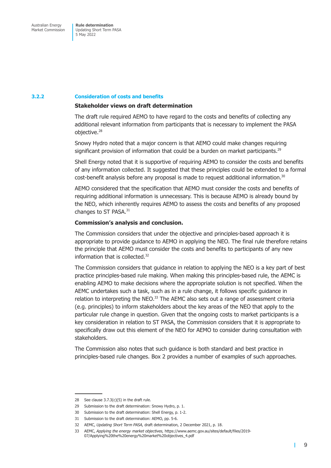#### **3.2.2 Consideration of costs and benefits**

#### **Stakeholder views on draft determination**

The draft rule required AEMO to have regard to the costs and benefits of collecting any additional relevant information from participants that is necessary to implement the PASA objective.28

Snowy Hydro noted that a major concern is that AEMO could make changes requiring significant provision of information that could be a burden on market participants.<sup>29</sup>

Shell Energy noted that it is supportive of requiring AEMO to consider the costs and benefits of any information collected. It suggested that these principles could be extended to a formal cost-benefit analysis before any proposal is made to request additional information.30

AEMO considered that the specification that AEMO must consider the costs and benefits of requiring additional information is unnecessary. This is because AEMO is already bound by the NEO, which inherently requires AEMO to assess the costs and benefits of any proposed changes to ST PASA.<sup>31</sup>

#### **Commission's analysis and conclusion.**

The Commission considers that under the objective and principles-based approach it is appropriate to provide guidance to AEMO in applying the NEO. The final rule therefore retains the principle that AEMO must consider the costs and benefits to participants of any new information that is collected.<sup>32</sup>

The Commission considers that guidance in relation to applying the NEO is a key part of best practice principles-based rule making. When making this principles-based rule, the AEMC is enabling AEMO to make decisions where the appropriate solution is not specified. When the AEMC undertakes such a task, such as in a rule change, it follows specific guidance in relation to interpreting the NEO.<sup>33</sup> The AEMC also sets out a range of assessment criteria (e.g. principles) to inform stakeholders about the key areas of the NEO that apply to the particular rule change in question. Given that the ongoing costs to market participants is a key consideration in relation to ST PASA, the Commission considers that it is appropriate to specifically draw out this element of the NEO for AEMO to consider during consultation with stakeholders.

The Commission also notes that such guidance is both standard and best practice in principles-based rule changes. Box 2 provides a number of examples of such approaches.

<sup>28</sup> See clause  $3.7.3(c)(5)$  in the draft rule.

<sup>29</sup> Submission to the draft determination: Snowy Hydro, p. 1.

<sup>30</sup> Submission to the draft determination: Shell Energy, p. 1-2.

<sup>31</sup> Submission to the draft determination: AEMO, pp. 5-6.

<sup>32</sup> AEMC, *Updating Short Term PASA,* draft determination, 2 December 2021, p. 18.

<sup>33</sup> AEMC, *Applying the energy market objectives,* https://www.aemc.gov.au/sites/default/files/2019- 07/Applying%20the%20energy%20market%20objectives\_4.pdf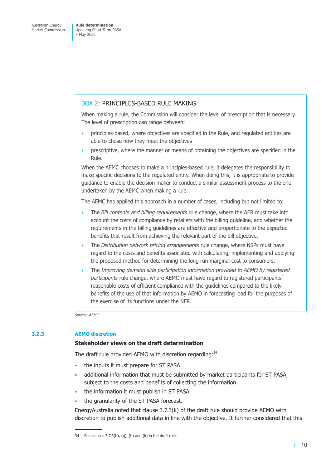#### BOX 2: PRINCIPLES-BASED RULE MAKING

When making a rule, the Commission will consider the level of prescription that is necessary. The level of prescription can range between:

- principles-based, where objectives are specified in the Rule, and regulated entities are able to chose how they meet the objectives
- prescriptive, where the manner or means of obtaining the objectives are specified in the Rule.

When the AEMC chooses to make a principles-based rule, it delegates the responsibility to make specific decisions to the regulated entity. When doing this, it is appropriate to provide guidance to enable the decision maker to conduct a similar assessment process to the one undertaken by the AEMC when making a rule.

The AEMC has applied this approach in a number of cases, including but not limited to:

- The *Bill contents and billing requirements* rule change, where the AER must take into account the costs of compliance by retailers with the billing guideline, and whether the requirements in the billing guidelines are effective and proportionate to the expected benefits that result from achieving the relevant part of the bill objective.
- The *Distribution network pricing arrangements* rule change, where NSPs must have regard to the costs and benefits associated with calculating, implementing and applying the proposed method for determining the long run marginal cost to consumers.
- The *Improving demand side participation information provided to AEMO by registered participants* rule change, where AEMO must have regard to registered participants' reasonable costs of efficient compliance with the guidelines compared to the likely benefits of the use of that information by AEMO in forecasting load for the purposes of the exercise of its functions under the NER.

Source: AEMC

#### **3.2.3 AEMO discretion**

#### **Stakeholder views on the draft determination**

The draft rule provided AEMO with discretion regarding:<sup>34</sup>

- the inputs it must prepare for ST PASA
- additional information that must be submitted by market participants for ST PASA, subject to the costs and benefits of collecting the information
- the information it must publish in ST PASA
- the granularity of the ST PASA forecast.

EnergyAustralia noted that clause  $3.7.3(k)$  of the draft rule should provide AEMO with discretion to publish additional data in line with the objective. It further considered that this

<sup>34</sup> See clauses 3.7.3(b), (g), (h) and (k) in the draft rule.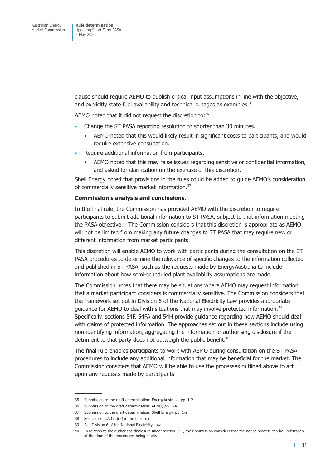clause should require AEMO to publish critical input assumptions in line with the objective, and explicitly state fuel availability and technical outages as examples.<sup>35</sup>

AEMO noted that it did not request the discretion to:<sup>36</sup>

- Change the ST PASA reporting resolution to shorter than 30 minutes.
	- AEMO noted that this would likely result in significant costs to participants, and would require extensive consultation.
- Require additional information from participants.
	- AEMO noted that this may raise issues regarding sensitive or confidential information, and asked for clarification on the exercise of this discretion.

Shell Energy noted that provisions in the rules could be added to guide AEMO's consideration of commercially sensitive market information.37

#### **Commission's analysis and conclusions.**

In the final rule, the Commission has provided AEMO with the discretion to require participants to submit additional information to ST PASA, subject to that information meeting the PASA objective.<sup>38</sup> The Commission considers that this discretion is appropriate as AEMO will not be limited from making any future changes to ST PASA that may require new or different information from market participants.

This discretion will enable AEMO to work with participants during the consultation on the ST PASA procedures to determine the relevance of specific changes to the information collected and published in ST PASA, such as the requests made by EnergyAustralia to include information about how semi-scheduled plant availability assumptions are made.

The Commission notes that there may be situations where AEMO may request information that a market participant considers is commercially sensitive. The Commission considers that the framework set out in Division 6 of the National Electricity Law provides appropriate guidance for AEMO to deal with situations that may involve protected information.<sup>39</sup> Specifically, sections 54F, 54FA and 54H provide guidance regarding how AEMO should deal with claims of protected information. The approaches set out in these sections include using non-identifying information, aggregating the information or authorising disclosure if the detriment to that party does not outweigh the public benefit.<sup>40</sup>

The final rule enables participants to work with AEMO during consultation on the ST PASA procedures to include any additional information that may be beneficial for the market. The Commission considers that AEMO will be able to use the processes outlined above to act upon any requests made by participants.

<sup>35</sup> Submission to the draft determination: EnergyAustralia, pp. 1-2.

<sup>36</sup> Submission to the draft determination: AEMO, pp. 3-4.

<sup>37</sup> Submission to the draft determination: Shell Energy, pp. 1-2.

<sup>38</sup> See clause 3.7.3 (c)(5) in the final rule.

<sup>39</sup> See Division 6 of the National Electricity Law.

<sup>40</sup> In relation to the authorised disclosure under section 54H, the Commission considers that the notice process can be undertaken at the time of the procedures being made.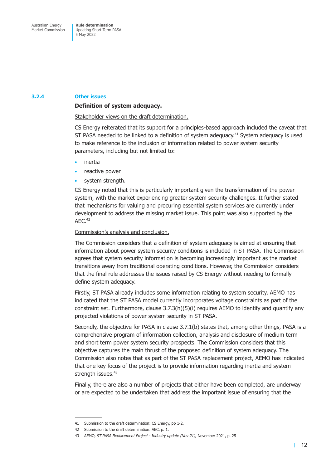#### **3.2.4 Other issues**

#### **Definition of system adequacy.**

Stakeholder views on the draft determination.

CS Energy reiterated that its support for a principles-based approach included the caveat that ST PASA needed to be linked to a definition of system adequacy.<sup>41</sup> System adequacy is used to make reference to the inclusion of information related to power system security parameters, including but not limited to:

- *inertia*
- reactive power
- system strength.

CS Energy noted that this is particularly important given the transformation of the power system, with the market experiencing greater system security challenges. It further stated that mechanisms for valuing and procuring essential system services are currently under development to address the missing market issue. This point was also supported by the  $AEC.<sup>42</sup>$ 

Commission's analysis and conclusion.

The Commission considers that a definition of system adequacy is aimed at ensuring that information about power system security conditions is included in ST PASA. The Commission agrees that system security information is becoming increasingly important as the market transitions away from traditional operating conditions. However, the Commission considers that the final rule addresses the issues raised by CS Energy without needing to formally define system adequacy.

Firstly, ST PASA already includes some information relating to system security. AEMO has indicated that the ST PASA model currently incorporates voltage constraints as part of the constraint set. Furthermore, clause 3.7.3(h)(5)(i) requires AEMO to identify and quantify any projected violations of power system security in ST PASA.

Secondly, the objective for PASA in clause 3.7.1(b) states that, among other things, PASA is a comprehensive program of information collection, analysis and disclosure of medium term and short term power system security prospects. The Commission considers that this objective captures the main thrust of the proposed definition of system adequacy. The Commission also notes that as part of the ST PASA replacement project, AEMO has indicated that one key focus of the project is to provide information regarding inertia and system strength issues.<sup>43</sup>

Finally, there are also a number of projects that either have been completed, are underway or are expected to be undertaken that address the important issue of ensuring that the

<sup>41</sup> Submission to the draft determination: CS Energy, pp 1-2.

<sup>42</sup> Submission to the draft determination: AEC, p. 1.

<sup>43</sup> AEMO, *ST PASA Replacement Project - Industry update (Nov 21),* November 2021, p. 25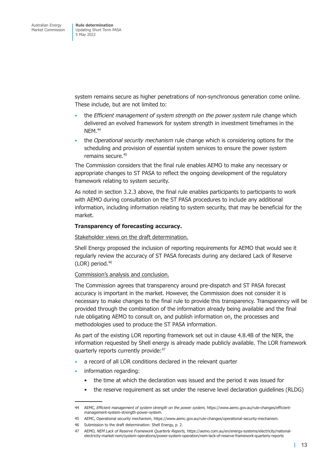system remains secure as higher penetrations of non-synchronous generation come online. These include, but are not limited to:

- the *Efficient management of system strength on the power system* rule change which delivered an evolved framework for system strength in investment timeframes in the NEM.<sup>44</sup>
- the *Operational security mechanism* rule change which is considering options for the scheduling and provision of essential system services to ensure the power system remains secure.<sup>45</sup>

The Commission considers that the final rule enables AEMO to make any necessary or appropriate changes to ST PASA to reflect the ongoing development of the regulatory framework relating to system security.

As noted in section 3.2.3 above, the final rule enables participants to participants to work with AEMO during consultation on the ST PASA procedures to include any additional information, including information relating to system security, that may be beneficial for the market.

#### **Transparency of forecasting accuracy.**

Stakeholder views on the draft determination.

Shell Energy proposed the inclusion of reporting requirements for AEMO that would see it regularly review the accuracy of ST PASA forecasts during any declared Lack of Reserve  $(LOR)$  period.<sup>46</sup>

#### Commission's analysis and conclusion.

The Commission agrees that transparency around pre-dispatch and ST PASA forecast accuracy is important in the market. However, the Commission does not consider it is necessary to make changes to the final rule to provide this transparency. Transparency will be provided through the combination of the information already being available and the final rule obligating AEMO to consult on, and publish information on, the processes and methodologies used to produce the ST PASA information.

As part of the existing LOR reporting framework set out in clause 4.8.4B of the NER, the information requested by Shell energy is already made publicly available. The LOR framework quarterly reports currently provide:<sup>47</sup>

- a record of all LOR conditions declared in the relevant quarter
- information regarding:
	- the time at which the declaration was issued and the period it was issued for
	- the reserve requirement as set under the reserve level declaration guidelines (RLDG)

<sup>44</sup> AEMC, *Efficient management of system strength on the power system,* https://www.aemc.gov.au/rule-changes/efficientmanagement-system-strength-power-system*.*

<sup>45</sup> AEMC, Operational security mechanism, https://www.aemc.gov.au/rule-changes/operational-security-mechanism.

<sup>46</sup> Submission to the draft determination: Shell Energy, p. 2.

<sup>47</sup> AEMO, *NEM Lack of Reserve Framework Quarterly Reports,* https://aemo.com.au/en/energy-systems/electricity/nationalelectricity-market-nem/system-operations/power-system-operation/nem-lack-of-reserve-framework-quarterly-reports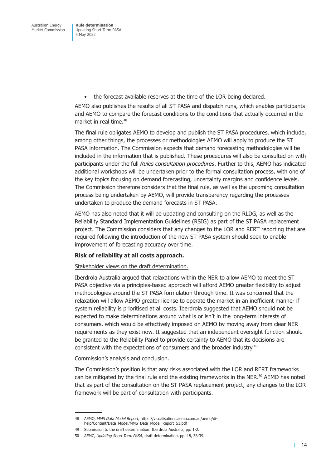• the forecast available reserves at the time of the LOR being declared.

AEMO also publishes the results of all ST PASA and dispatch runs, which enables participants and AEMO to compare the forecast conditions to the conditions that actually occurred in the market in real time.<sup>48</sup>

The final rule obligates AEMO to develop and publish the ST PASA procedures, which include, among other things, the processes or methodologies AEMO will apply to produce the ST PASA information. The Commission expects that demand forecasting methodologies will be included in the information that is published. These procedures will also be consulted on with participants under the full *Rules consultation procedures*. Further to this, AEMO has indicated additional workshops will be undertaken prior to the formal consultation process, with one of the key topics focusing on demand forecasting, uncertainty margins and confidence levels. The Commission therefore considers that the final rule, as well as the upcoming consultation process being undertaken by AEMO, will provide transparency regarding the processes undertaken to produce the demand forecasts in ST PASA.

AEMO has also noted that it will be updating and consulting on the RLDG, as well as the Reliability Standard Implementation Guidelines (RSIG) as part of the ST PASA replacement project. The Commission considers that any changes to the LOR and RERT reporting that are required following the introduction of the new ST PASA system should seek to enable improvement of forecasting accuracy over time.

#### **Risk of reliability at all costs approach.**

#### Stakeholder views on the draft determination.

Iberdrola Australia argued that relaxations within the NER to allow AEMO to meet the ST PASA objective via a principles-based approach will afford AEMO greater flexibility to adjust methodologies around the ST PASA formulation through time. It was concerned that the relaxation will allow AEMO greater license to operate the market in an inefficient manner if system reliability is prioritised at all costs. Iberdrola suggested that AEMO should not be expected to make determinations around what is or isn't in the long-term interests of consumers, which would be effectively imposed on AEMO by moving away from clear NER requirements as they exist now. It suggested that an independent oversight function should be granted to the Reliability Panel to provide certainty to AEMO that its decisions are consistent with the expectations of consumers and the broader industry.49

#### Commission's analysis and conclusion.

The Commission's position is that any risks associated with the LOR and RERT frameworks can be mitigated by the final rule and the existing frameworks in the NER. $50$  AEMO has noted that as part of the consultation on the ST PASA replacement project, any changes to the LOR framework will be part of consultation with participants.

<sup>48</sup> AEMO, *MMS Data Model Report,* https://visualisations.aemo.com.au/aemo/dihelp/Content/Data\_Model/MMS\_Data\_Model\_Report\_51.pdf

<sup>49</sup> Submission to the draft determination: Iberdrola Australia, pp. 1-2.

<sup>50</sup> AEMC, *Updating Short Term PASA,* draft determination, pp. 18, 38-39.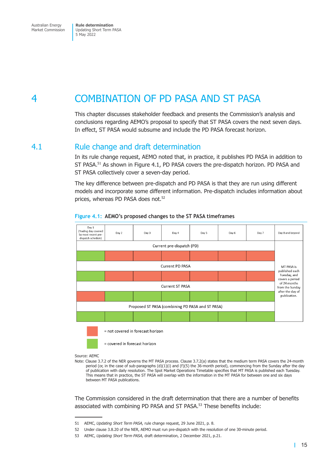<span id="page-21-0"></span>**Rule determination**  Updating Short Term PASA 5 May 2022

## 4 COMBINATION OF PD PASA AND ST PASA

This chapter discusses stakeholder feedback and presents the Commission's analysis and conclusions regarding AEMO's proposal to specify that ST PASA covers the next seven days. In effect, ST PASA would subsume and include the PD PASA forecast horizon.

### 4.1 Rule change and draft determination

In its rule change request, AEMO noted that, in practice, it publishes PD PASA in addition to ST PASA.<sup>51</sup> As shown in Figure 4.1, PD PASA covers the pre-dispatch horizon. PD PASA and ST PASA collectively cover a seven-day period.

The key difference between pre-dispatch and PD PASA is that they are run using different models and incorporate some different information. Pre-dispatch includes information about prices, whereas PD PASA does not.<sup>52</sup>



#### **Figure 4.1: AEMO's proposed changes to the ST PASA timeframes**

Source: AEMC

Note: Clause 3.7.2 of the NER governs the MT PASA process. Clause 3.7.2(a) states that the medium term PASA covers the 24-month period (or, in the case of sub-paragraphs (d)(1)(i) and (f)(5) the 36-month period), commencing from the Sunday after the day of publication with daily resolution. The Spot Market Operations Timetable specifies that MT PASA is published each Tuesday. This means that in practice, the ST PASA will overlap with the information in the MT PASA for between one and six days between MT PASA publications.

The Commission considered in the draft determination that there are a number of benefits associated with combining PD PASA and ST PASA.<sup>53</sup> These benefits include:

= covered in forecast horizon

<sup>51</sup> AEMC, *Updating Short Term PASA,* rule change request, 29 June 2021, p. 8.

<sup>52</sup> Under clause 3.8.20 of the NER, AEMO must run pre-dispatch with the resolution of one 30-minute period.

<sup>53</sup> AEMC, *Updating Short Term PASA,* draft determination, 2 December 2021, p.21.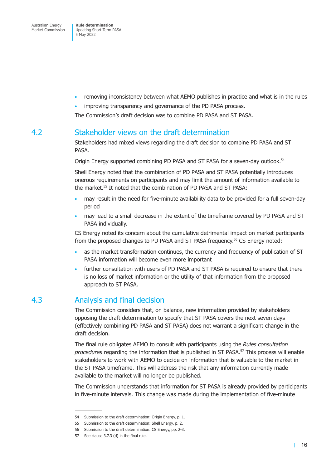- <span id="page-22-0"></span>• removing inconsistency between what AEMO publishes in practice and what is in the rules
- improving transparency and governance of the PD PASA process.

The Commission's draft decision was to combine PD PASA and ST PASA.

### 4.2 Stakeholder views on the draft determination

Stakeholders had mixed views regarding the draft decision to combine PD PASA and ST PASA.

Origin Energy supported combining PD PASA and ST PASA for a seven-day outlook.54

Shell Energy noted that the combination of PD PASA and ST PASA potentially introduces onerous requirements on participants and may limit the amount of information available to the market.55 It noted that the combination of PD PASA and ST PASA:

- may result in the need for five-minute availability data to be provided for a full seven-day period
- may lead to a small decrease in the extent of the timeframe covered by PD PASA and ST PASA individually.

CS Energy noted its concern about the cumulative detrimental impact on market participants from the proposed changes to PD PASA and ST PASA frequency.<sup>56</sup> CS Energy noted:

- as the market transformation continues, the currency and frequency of publication of ST PASA information will become even more important
- further consultation with users of PD PASA and ST PASA is required to ensure that there is no loss of market information or the utility of that information from the proposed approach to ST PASA.

## 4.3 Analysis and final decision

The Commission considers that, on balance, new information provided by stakeholders opposing the draft determination to specify that ST PASA covers the next seven days (effectively combining PD PASA and ST PASA) does not warrant a significant change in the draft decision.

The final rule obligates AEMO to consult with participants using the *Rules consultation procedures* regarding the information that is published in ST PASA.<sup>57</sup> This process will enable stakeholders to work with AEMO to decide on information that is valuable to the market in the ST PASA timeframe. This will address the risk that any information currently made available to the market will no longer be published.

The Commission understands that information for ST PASA is already provided by participants in five-minute intervals. This change was made during the implementation of five-minute

<sup>54</sup> Submission to the draft determination: Origin Energy, p. 1.

<sup>55</sup> Submission to the draft determination: Shell Energy, p. 2.

<sup>56</sup> Submission to the draft determination: CS Energy, pp. 2-3.

<sup>57</sup> See clause 3.7.3 (d) in the final rule.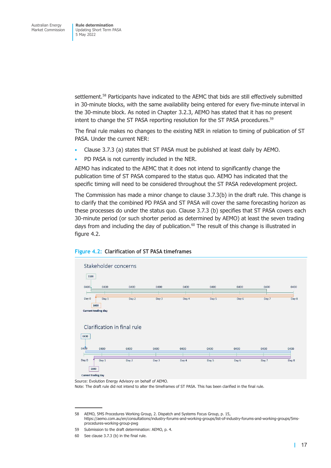settlement.<sup>58</sup> Participants have indicated to the AEMC that bids are still effectively submitted in 30-minute blocks, with the same availability being entered for every five-minute interval in the 30-minute block. As noted in Chapter 3.2.3, AEMO has stated that it has no present intent to change the ST PASA reporting resolution for the ST PASA procedures.<sup>59</sup>

The final rule makes no changes to the existing NER in relation to timing of publication of ST PASA. Under the current NER:

- Clause 3.7.3 (a) states that ST PASA must be published at least daily by AEMO.
- PD PASA is not currently included in the NER.

AEMO has indicated to the AEMC that it does not intend to significantly change the publication time of ST PASA compared to the status quo. AEMO has indicated that the specific timing will need to be considered throughout the ST PASA redevelopment project.

The Commission has made a minor change to clause 3.7.3(b) in the draft rule. This change is to clarify that the combined PD PASA and ST PASA will cover the same forecasting horizon as these processes do under the status quo. Clause 3.7.3 (b) specifies that ST PASA covers each 30-minute period (or such shorter period as determined by AEMO) at least the seven trading days from and including the day of publication. $60$  The result of this change is illustrated in figure 4.2.



#### **Figure 4.2: Clarification of ST PASA timeframes**

Source: Evolution Energy Advisory on behalf of AEMO.

Note: The draft rule did not intend to alter the timeframes of ST PASA. This has been clarified in the final rule.

<sup>58</sup> AEMO, 5MS Procedures Working Group, 2. Dispatch and Systems Focus Group, p. 15, https://aemo.com.au/en/consultations/industry-forums-and-working-groups/list-of-industry-forums-and-working-groups/5msprocedures-working-group-pwg

<sup>59</sup> Submission to the draft determination: AEMO, p. 4.

<sup>60</sup> See clause 3.7.3 (b) in the final rule.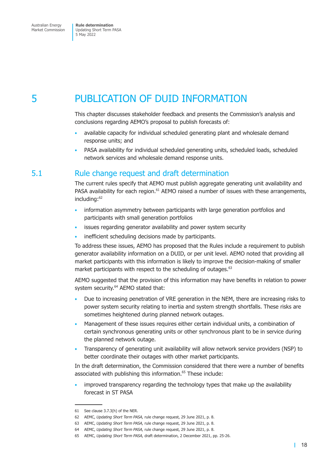## <span id="page-24-0"></span>5 PUBLICATION OF DUID INFORMATION

This chapter discusses stakeholder feedback and presents the Commission's analysis and conclusions regarding AEMO's proposal to publish forecasts of:

- available capacity for individual scheduled generating plant and wholesale demand response units; and
- PASA availability for individual scheduled generating units, scheduled loads, scheduled network services and wholesale demand response units.

### 5.1 Rule change request and draft determination

The current rules specify that AEMO must publish aggregate generating unit availability and PASA availability for each region.<sup>61</sup> AEMO raised a number of issues with these arrangements, including:<sup>62</sup>

- information asymmetry between participants with large generation portfolios and participants with small generation portfolios
- issues regarding generator availability and power system security
- inefficient scheduling decisions made by participants.

To address these issues, AEMO has proposed that the Rules include a requirement to publish generator availability information on a DUID, or per unit level. AEMO noted that providing all market participants with this information is likely to improve the decision-making of smaller market participants with respect to the scheduling of outages.<sup>63</sup>

AEMO suggested that the provision of this information may have benefits in relation to power system security.<sup>64</sup> AEMO stated that:

- Due to increasing penetration of VRE generation in the NEM, there are increasing risks to power system security relating to inertia and system strength shortfalls. These risks are sometimes heightened during planned network outages.
- Management of these issues requires either certain individual units, a combination of certain synchronous generating units or other synchronous plant to be in service during the planned network outage.
- Transparency of generating unit availability will allow network service providers (NSP) to better coordinate their outages with other market participants.

In the draft determination, the Commission considered that there were a number of benefits associated with publishing this information.<sup>65</sup> These include:

• improved transparency regarding the technology types that make up the availability forecast in ST PASA

<sup>61</sup> See clause 3.7.3(h) of the NER.

<sup>62</sup> AEMC, *Updating Short Term PASA,* rule change request, 29 June 2021, p. 8.

<sup>63</sup> AEMC, *Updating Short Term PASA,* rule change request, 29 June 2021, p. 8.

<sup>64</sup> AEMC, *Updating Short Term PASA,* rule change request, 29 June 2021, p. 8.

<sup>65</sup> AEMC, *Updating Short Term PASA,* draft determination, 2 December 2021, pp. 25-26.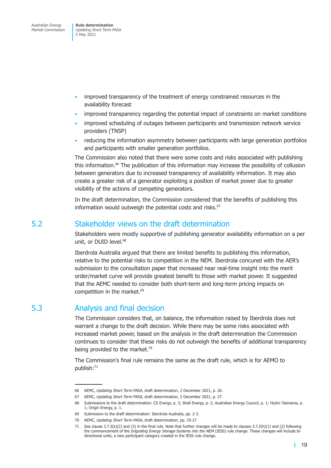- <span id="page-25-0"></span>• improved transparency of the treatment of energy constrained resources in the availability forecast
- improved transparency regarding the potential impact of constraints on market conditions
- improved scheduling of outages between participants and transmission network service providers (TNSP)
- reducing the information asymmetry between participants with large generation portfolios and participants with smaller generation portfolios.

The Commission also noted that there were some costs and risks associated with publishing this information.<sup>66</sup> The publication of this information may increase the possibility of collusion between generators due to increased transparency of availability information. It may also create a greater risk of a generator exploiting a position of market power due to greater visibility of the actions of competing generators.

In the draft determination, the Commission considered that the benefits of publishing this information would outweigh the potential costs and risks.<sup>67</sup>

## 5.2 Stakeholder views on the draft determination

Stakeholders were mostly supportive of publishing generator availability information on a per unit, or DUID level.<sup>68</sup>

Iberdrola Australia argued that there are limited benefits to publishing this information, relative to the potential risks to competition in the NEM. Iberdrola concured with the AER's submission to the consultation paper that increased near real-time insight into the merit order/market curve will provide greatest benefit to those with market power. It suggested that the AEMC needed to consider both short-term and long-term pricing impacts on competition in the market.<sup>69</sup>

## 5.3 Analysis and final decision

The Commission considers that, on balance, the information raised by Iberdrola does not warrant a change to the draft decision. While there may be some risks associated with increased market power, based on the analysis in the draft determination the Commission continues to consider that these risks do not outweigh the benefits of additional transparency being provided to the market.<sup>70</sup>

The Commission's final rule remains the same as the draft rule, which is for AEMO to publish:<sup>71</sup>

<sup>66</sup> AEMC, *Updating Short Term PASA,* draft determination, 2 December 2021, p. 26.

<sup>67</sup> AEMC, *Updating Short Term PASA,* draft determination, 2 December 2021, p. 27.

<sup>68</sup> Submissions to the draft determination: CS Energy, p. 3; Shell Energy, p. 2; Australian Energy Council, p. 1; Hydro Tasmania, p. 1; Origin Energy, p. 1.

<sup>69</sup> Submission to the draft determination: Iberdrola Australia, pp. 2-3.

<sup>70</sup> AEMC, *Updating Short Term PASA,* draft determination, pp. 25-27

<sup>71</sup> See clause 3.7.3(k)(2) and (3) in the final rule. Note that further changes will be made to clauses 3.7.3(h)(1) and (2) following the commencement of the *Intgrating Energy Storage Systems into the NEM* (IESS) rule change. These changes will include bidirectional units, a new participant category created in the IESS rule change.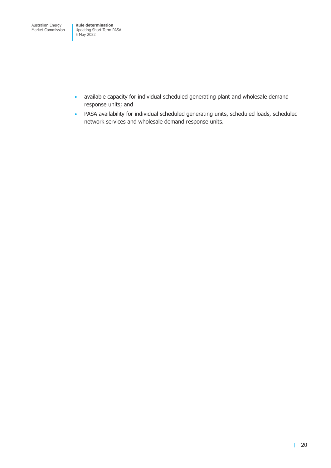- available capacity for individual scheduled generating plant and wholesale demand response units; and
- PASA availability for individual scheduled generating units, scheduled loads, scheduled network services and wholesale demand response units.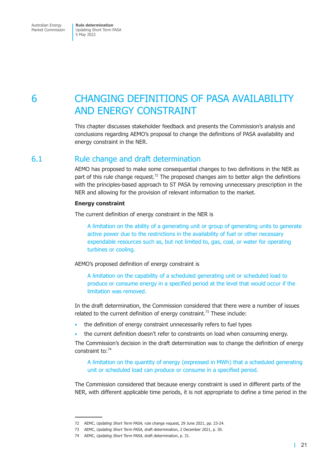<span id="page-27-0"></span>**Rule determination**  Updating Short Term PASA 5 May 2022

## 6 CHANGING DEFINITIONS OF PASA AVAILABILITY AND ENERGY CONSTRAINT

This chapter discusses stakeholder feedback and presents the Commission's analysis and conclusions regarding AEMO's proposal to change the definitions of PASA availability and energy constraint in the NER.

### 6.1 Rule change and draft determination

AEMO has proposed to make some consequential changes to two definitions in the NER as part of this rule change request.<sup>72</sup> The proposed changes aim to better align the definitions with the principles-based approach to ST PASA by removing unnecessary prescription in the NER and allowing for the provision of relevant information to the market.

#### **Energy constraint**

The current definition of energy constraint in the NER is

A limitation on the ability of a generating unit or group of generating units to generate active power due to the restrictions in the availability of fuel or other necessary expendable resources such as, but not limited to, gas, coal, or water for operating turbines or cooling.

AEMO's proposed definition of energy constraint is

A limitation on the capability of a scheduled generating unit or scheduled load to produce or consume energy in a specified period at the level that would occur if the limitation was removed.

In the draft determination, the Commission considered that there were a number of issues related to the current definition of energy constraint.<sup>73</sup> These include:

- the definition of energy constraint unnecessarily refers to fuel types
- the current definition doesn't refer to constraints on load when consuming energy.

The Commission's decision in the draft determination was to change the definition of energy constraint to:<sup>74</sup>

A limitation on the quantity of energy (expressed in MWh) that a scheduled generating unit or scheduled load can produce or consume in a specified period.

The Commission considered that because energy constraint is used in different parts of the NER, with different applicable time periods, it is not appropriate to define a time period in the

<sup>72</sup> AEMC, *Updating Short Term PASA,* rule change request, 29 June 2021, pp. 23-24.

<sup>73</sup> AEMC, *Updating Short Term PASA,* draft determination, 2 December 2021, p. 30.

<sup>74</sup> AEMC, *Updating Short Term PASA,* draft determination, p. 31.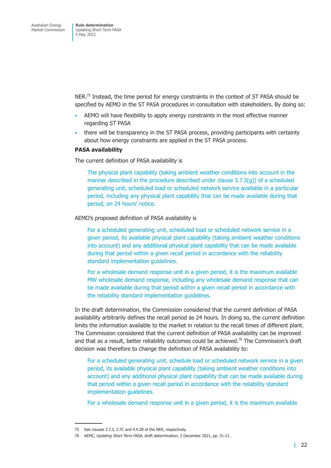NER.<sup>75</sup> Instead, the time period for energy constraints in the context of ST PASA should be specified by AEMO in the ST PASA procedures in consultation with stakeholders. By doing so:

- AEMO will have flexibility to apply energy constraints in the most effective manner regarding ST PASA
- there will be transparency in the ST PASA process, providing participants with certainty about how energy constraints are applied in the ST PASA process.

#### **PASA availability**

The current definition of PASA availability is

The physical plant capability (taking ambient weather conditions into account in the manner described in the procedure described under clause  $3.7.3(q)$ ) of a scheduled generating unit, scheduled load or scheduled network service available in a particular period, including any physical plant capability that can be made available during that period, on 24 hours' notice.

AEMO's proposed definition of PASA availability is

For a scheduled generating unit, scheduled load or scheduled network service in a given period, its available physical plant capability (taking ambient weather conditions into account) and any additional physical plant capability that can be made available during that period within a given recall period in accordance with the reliability standard implementation guidelines.

For a wholesale demand response unit in a given period, it is the maximum available MW wholesale demand response, including any wholesale demand response that can be made available during that period within a given recall period in accordance with the reliability standard implementation guidelines.

In the draft determination, the Commission considered that the current definition of PASA availability arbitrarily defines the recall period as 24 hours. In doing so, the current definition limits the information available to the market in relation to the recall times of different plant. The Commission considered that the current definition of PASA availability can be improved and that as a result, better reliability outcomes could be achieved.<sup>76</sup> The Commission's draft decision was therefore to change the definition of PASA availability to:

For a scheduled generating unit, schedule load or scheduled network service in a given period, its available physical plant capability (taking ambient weather conditions into account) and any additional physical plant capability that can be made available during that period within a given recall period in accordance with the reliability standard implementation guidelines.

For a wholesale demand response unit in a given period, it is the maximum available

<sup>75</sup> See clauses 3.7.3, 3.7C and 4.4.2B of the NER, respectively.

<sup>76</sup> AEMC, *Updating Short Term PASA,* draft determination, 2 December 2021, pp. 31-21.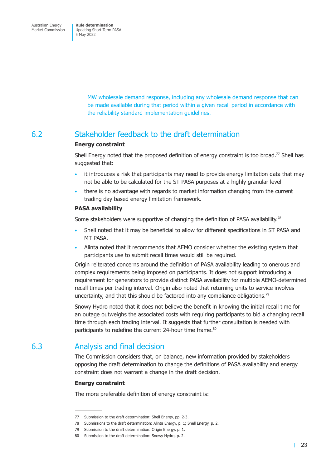> <span id="page-29-0"></span>MW wholesale demand response, including any wholesale demand response that can be made available during that period within a given recall period in accordance with the reliability standard implementation guidelines.

## 6.2 Stakeholder feedback to the draft determination

#### **Energy constraint**

Shell Energy noted that the proposed definition of energy constraint is too broad.<sup>77</sup> Shell has suggested that:

- it introduces a risk that participants may need to provide energy limitation data that may not be able to be calculated for the ST PASA purposes at a highly granular level
- there is no advantage with regards to market information changing from the current trading day based energy limitation framework.

#### **PASA availability**

Some stakeholders were supportive of changing the definition of PASA availability.<sup>78</sup>

- Shell noted that it may be beneficial to allow for different specifications in ST PASA and MT PASA.
- Alinta noted that it recommends that AEMO consider whether the existing system that participants use to submit recall times would still be required.

Origin reiterated concerns around the definition of PASA availability leading to onerous and complex requirements being imposed on participants. It does not support introducing a requirement for generators to provide distinct PASA availability for multiple AEMO-determined recall times per trading interval. Origin also noted that returning units to service involves uncertainty, and that this should be factored into any compliance obligations.<sup>79</sup>

Snowy Hydro noted that it does not believe the benefit in knowing the initial recall time for an outage outweighs the associated costs with requiring participants to bid a changing recall time through each trading interval. It suggests that further consultation is needed with participants to redefine the current 24-hour time frame.<sup>80</sup>

## 6.3 Analysis and final decision

The Commission considers that, on balance, new information provided by stakeholders opposing the draft determination to change the definitions of PASA availability and energy constraint does not warrant a change in the draft decision.

#### **Energy constraint**

The more preferable definition of energy constraint is:

<sup>77</sup> Submission to the draft determination: Shell Energy, pp. 2-3.

<sup>78</sup> Submissions to the draft determination: Alinta Energy, p. 1; Shell Energy, p. 2.

<sup>79</sup> Submission to the draft determination: Origin Energy, p. 1.

<sup>80</sup> Submission to the draft determination: Snowy Hydro, p. 2.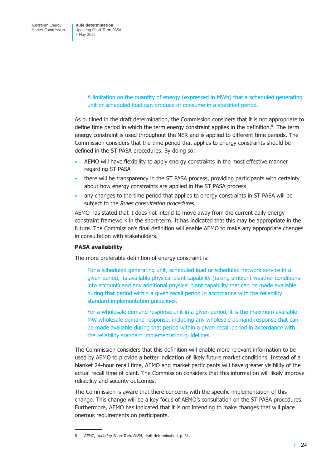#### A limitation on the quantity of energy (expressed in MWh) that a scheduled generating unit or scheduled load can produce or consume in a specified period.

As outlined in the draft determination, the Commission considers that it is not appropriate to define time period in which the term energy constraint applies in the definition. $81$  The term energy constraint is used throughout the NER and is applied to different time periods. The Commission considers that the time period that applies to energy constraints should be defined in the ST PASA procedures. By doing so:

- AEMO will have flexibility to apply energy constraints in the most effective manner regarding ST PASA
- there will be transparency in the ST PASA process, providing participants with certainty about how energy constraints are applied in the ST PASA process
- any changes to the time period that applies to energy constraints in ST PASA will be subject to the *Rules consultation procedures.*

AEMO has stated that it does not intend to move away from the current daily energy constraint framework in the short-term. It has indicated that this may be appropriate in the future. The Commission's final definition will enable AEMO to make any appropriate changes in consultation with stakeholders.

#### **PASA availability**

The more preferable definition of energy constraint is:

For a scheduled generating unit, scheduled load or scheduled network service in a given period, its available physical plant capability (taking ambient weather conditions into account) and any additional physical plant capability that can be made available during that period within a given recall period in accordance with the reliability standard implementation guidelines.

For a wholesale demand response unit in a given period, it is the maximum available MW wholesale demand response, including any wholesale demand response that can be made available during that period within a given recall period in accordance with the reliability standard implementation guidelines.

The Commission considers that this definition will enable more relevant information to be used by AEMO to provide a better indication of likely future market conditions. Instead of a blanket 24-hour recall time, AEMO and market participants will have greater visibility of the actual recall time of plant. The Commission considers that this information will likely improve reliability and security outcomes.

The Commission is aware that there concerns with the specific implementation of this change. This change will be a key focus of AEMO's consultation on the ST PASA procedures. Furthermore, AEMO has indicated that it is not intending to make changes that will place onerous requirements on participants.

<sup>81</sup> AEMC, *Updating Short Term PASA,* draft determination, p. 31.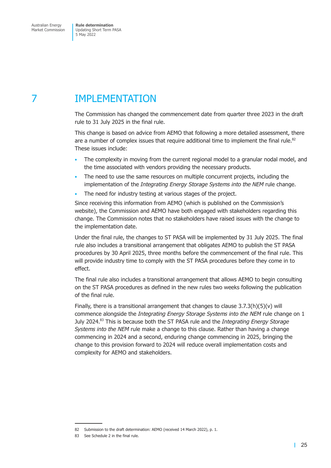## <span id="page-31-0"></span>7 IMPLEMENTATION

The Commission has changed the commencement date from quarter three 2023 in the draft rule to 31 July 2025 in the final rule.

This change is based on advice from AEMO that following a more detailed assessment, there are a number of complex issues that require additional time to implement the final rule. $82$ These issues include:

- The complexity in moving from the current regional model to a granular nodal model, and the time associated with vendors providing the necessary products.
- The need to use the same resources on multiple concurrent projects, including the implementation of the *Integrating Energy Storage Systems into the NEM* rule change.
- The need for industry testing at various stages of the project.

Since receiving this information from AEMO (which is published on the Commission's website), the Commission and AEMO have both engaged with stakeholders regarding this change. The Commission notes that no stakeholders have raised issues with the change to the implementation date.

Under the final rule, the changes to ST PASA will be implemented by 31 July 2025. The final rule also includes a transitional arrangement that obligates AEMO to publish the ST PASA procedures by 30 April 2025, three months before the commencement of the final rule. This will provide industry time to comply with the ST PASA procedures before they come in to effect.

The final rule also includes a transitional arrangement that allows AEMO to begin consulting on the ST PASA procedures as defined in the new rules two weeks following the publication of the final rule.

Finally, there is a transitional arrangement that changes to clause  $3.7.3(h)(5)(v)$  will commence alongside the *Integrating Energy Storage Systems into the NEM* rule change on 1 July 2024.83 This is because both the ST PASA rule and the *Integrating Energy Storage Systems into the NEM* rule make a change to this clause. Rather than having a change commencing in 2024 and a second, enduring change commencing in 2025, bringing the change to this provision forward to 2024 will reduce overall implementation costs and complexity for AEMO and stakeholders.

<sup>82</sup> Submission to the draft determination: AEMO (received 14 March 2022), p. 1.

<sup>83</sup> See Schedule 2 in the final rule.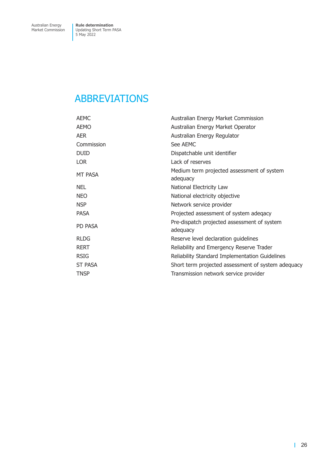## <span id="page-32-0"></span>ABBREVIATIONS

| AEMC           | Australian Energy Market Commission                     |
|----------------|---------------------------------------------------------|
| AEMO           | Australian Energy Market Operator                       |
| AER            | Australian Energy Regulator                             |
| Commission     | See AEMC                                                |
| Duid           | Dispatchable unit identifier                            |
| LOR.           | Lack of reserves                                        |
| MT PASA        | Medium term projected assessment of system<br>adequacy  |
| NEL.           | National Electricity Law                                |
| <b>NEO</b>     | National electricity objective                          |
| <b>NSP</b>     | Network service provider                                |
| PASA           | Projected assessment of system adeqacy                  |
| <b>PD PASA</b> | Pre-dispatch projected assessment of system<br>adequacy |
| <b>RLDG</b>    | Reserve level declaration guidelines                    |
| RERT           | Reliability and Emergency Reserve Trader                |
| RSIG           | Reliability Standard Implementation Guidelines          |
| <b>ST PASA</b> | Short term projected assessment of system adequacy      |
| TNSP           | Transmission network service provider                   |
|                |                                                         |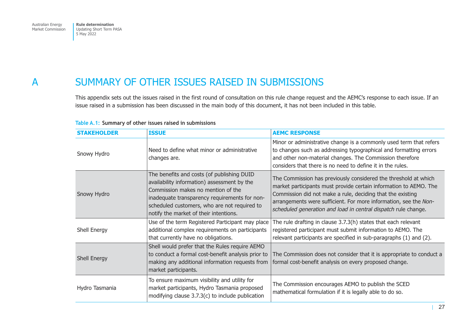## <span id="page-33-0"></span>A SUMMARY OF OTHER ISSUES RAISED IN SUBMISSIONS

This appendix sets out the issues raised in the first round of consultation on this rule change request and the AEMC's response to each issue. If an issue raised in a submission has been discussed in the main body of this document, it has not been included in this table.

| <b>STAKEHOLDER</b> | <b>ISSUE</b>                                                                                                                                                                                                                                                               | <b>AEMC RESPONSE</b>                                                                                                                                                                                                                                                                                                                     |
|--------------------|----------------------------------------------------------------------------------------------------------------------------------------------------------------------------------------------------------------------------------------------------------------------------|------------------------------------------------------------------------------------------------------------------------------------------------------------------------------------------------------------------------------------------------------------------------------------------------------------------------------------------|
| Snowy Hydro        | Need to define what minor or administrative<br>changes are.                                                                                                                                                                                                                | Minor or administrative change is a commonly used term that refers<br>to changes such as addressing typographical and formatting errors<br>and other non-material changes. The Commission therefore<br>considers that there is no need to define it in the rules.                                                                        |
| Snowy Hydro        | The benefits and costs (of publishing DUID<br>availability information) assessment by the<br>Commission makes no mention of the<br>inadequate transparency requirements for non-<br>scheduled customers, who are not required to<br>notify the market of their intentions. | The Commission has previously considered the threshold at which<br>market participants must provide certain information to AEMO. The<br>Commission did not make a rule, deciding that the existing<br>arrangements were sufficient. For more information, see the Non-<br>scheduled generation and load in central dispatch rule change. |
| Shell Energy       | Use of the term Registered Participant may place<br>additional complex requirements on participants<br>that currently have no obligations.                                                                                                                                 | The rule drafting in clause 3.7.3(h) states that each relevant<br>registered participant must submit information to AEMO. The<br>relevant participants are specified in sub-paragraphs (1) and (2).                                                                                                                                      |
| Shell Energy       | Shell would prefer that the Rules require AEMO<br>to conduct a formal cost-benefit analysis prior to<br>making any additional information requests from<br>market participants.                                                                                            | The Commission does not consider that it is appropriate to conduct a<br>formal cost-benefit analysis on every proposed change.                                                                                                                                                                                                           |
| Hydro Tasmania     | To ensure maximum visibility and utility for<br>market participants, Hydro Tasmania proposed<br>modifying clause 3.7.3(c) to include publication                                                                                                                           | The Commission encourages AEMO to publish the SCED<br>mathematical formulation if it is legally able to do so.                                                                                                                                                                                                                           |

**Table A.1: Summary of other issues raised in submissions**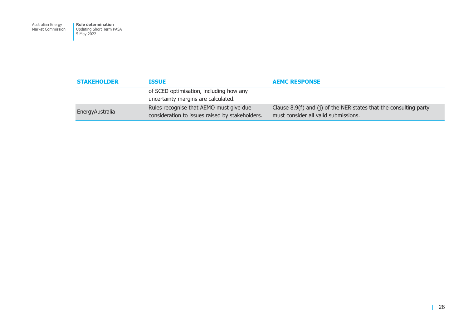**Rule determination**  Updating Short Term PASA 5 May 2022

| <b>STAKEHOLDER</b> | <b>ISSUE</b>                                                                               | <b>AEMC RESPONSE</b>                                                                                      |
|--------------------|--------------------------------------------------------------------------------------------|-----------------------------------------------------------------------------------------------------------|
|                    | of SCED optimisation, including how any<br>uncertainty margins are calculated.             |                                                                                                           |
| Energy Australia   | Rules recognise that AEMO must give due<br>consideration to issues raised by stakeholders. | Clause 8.9(f) and (j) of the NER states that the consulting party<br>must consider all valid submissions. |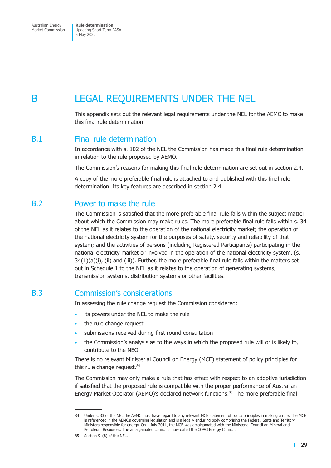<span id="page-35-0"></span>**Rule determination**  Updating Short Term PASA 5 May 2022

## B LEGAL REQUIREMENTS UNDER THE NEL

This appendix sets out the relevant legal requirements under the NEL for the AEMC to make this final rule determination.

### B.1 Final rule determination

In accordance with s. 102 of the NEL the Commission has made this final rule determination in relation to the rule proposed by AEMO.

The Commission's reasons for making this final rule determination are set out in section 2.4.

A copy of the more preferable final rule is attached to and published with this final rule determination. Its key features are described in section 2.4.

### B.2 Power to make the rule

The Commission is satisfied that the more preferable final rule falls within the subject matter about which the Commission may make rules. The more preferable final rule falls within s. 34 of the NEL as it relates to the operation of the national electricity market; the operation of the national electricity system for the purposes of safety, security and reliability of that system; and the activities of persons (including Registered Participants) participating in the national electricity market or involved in the operation of the national electricity system. (s. 34(1)(a)(i), (ii) and (iii)). Further, the more preferable final rule falls within the matters set out in Schedule 1 to the NEL as it relates to the operation of generating systems, transmission systems, distribution systems or other facilities.

### B.3 Commission's considerations

In assessing the rule change request the Commission considered:

- its powers under the NEL to make the rule
- the rule change request
- submissions received during first round consultation
- the Commission's analysis as to the ways in which the proposed rule will or is likely to, contribute to the NEO.

There is no relevant Ministerial Council on Energy (MCE) statement of policy principles for this rule change request.<sup>84</sup>

The Commission may only make a rule that has effect with respect to an adoptive jurisdiction if satisfied that the proposed rule is compatible with the proper performance of Australian Energy Market Operator (AEMO)'s declared network functions.<sup>85</sup> The more preferable final

<sup>84</sup> Under s. 33 of the NEL the AEMC must have regard to any relevant MCE statement of policy principles in making a rule. The MCE is referenced in the AEMC's governing legislation and is a legally enduring body comprising the Federal, State and Territory Ministers responsible for energy. On 1 July 2011, the MCE was amalgamated with the Ministerial Council on Mineral and Petroleum Resources. The amalgamated council is now called the COAG Energy Council.

<sup>85</sup> Section 91(8) of the NEL.